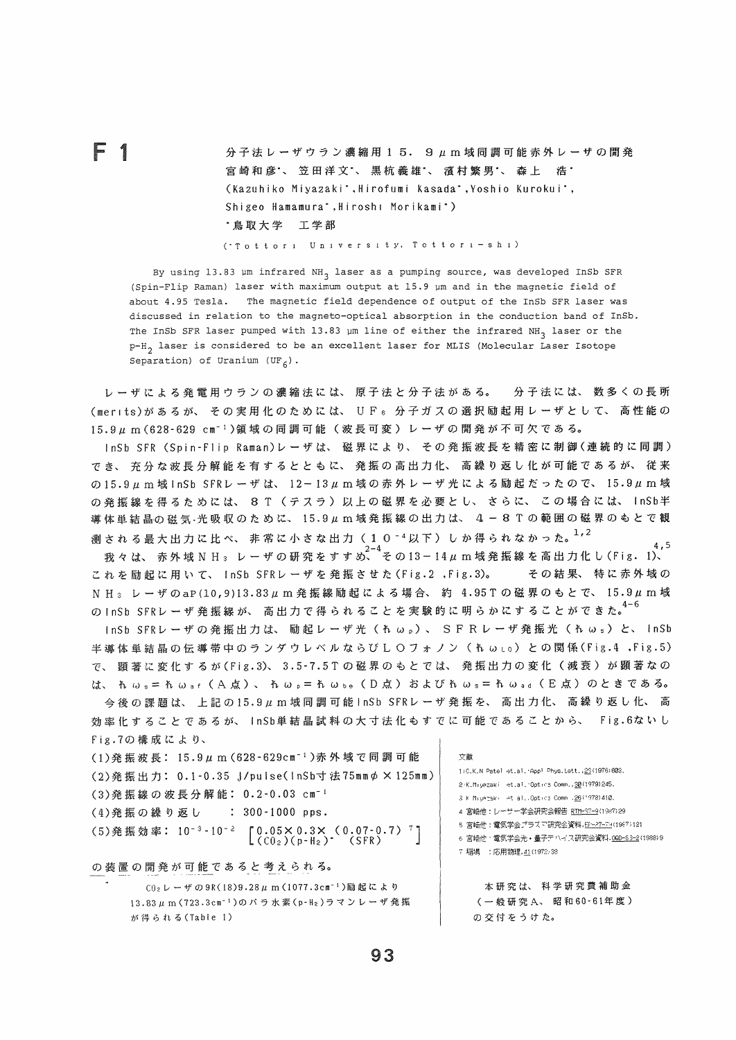$\begin{array}{lll} \mathbf{F} & 1 & \text{if} & \text{if} & \text{if} \\ \mathbf{F} & 1 & \text{if} & \text{if} & \text{if} & \text{if} \\ \mathbf{F} & 1 & \text{if} & \text{if} & \text{if} & \text{if} \\ \mathbf{F} & 1 & \text{if} & \text{if} & \text{if} & \text{if} \end{array}$ 宮崎和彦、笠田洋文\*、黒杭義雄\*、濱村繁男\*、森上 浩\* (Kazuhiko Miyazaki<sup>\*</sup>, Hirofumi Kasada\*, Yoshio Kurokui\*, Shigeo Hamamura\*, Hiroshi Morikami\*) ●鳥取大学 工学部

(・T o t t o r i U ni v e r si t y, T o t t o r i-s hi)

By using 13.83 µm infrared NH<sub>3</sub> laser as a pumping source, was developed InSb SFR (Spin-Flip Raman) laser with maximum output at 15.9 Um and in the magnetic field of about 4.95 Tesla. The magnetic field dependence of output of the InSb SFR laser was discussed in relation to the magneto-optical absorption in the conduction band of InSb. The InSb SFR laser pumped with 13.83 µm line of either the infrared NH<sub>2</sub> laser or the p-H\_ laser is considered to be an excellent laser for MLIS (Molecular Laser Isotope Separation) of Uranium  $(\text{UF}_{\epsilon})$ .

レ-ザによる発電用ウランの濃縮法には、原子法と分子法がある。 分子法には、数多くの長所 (mer ts)があるが、その実層化のためには、 U F6 分子ガスの選択勧起用レ-ザとして、高性能の 15.9μm (628-629 cm<sup>-1</sup>)領域の同調可能(波長可変)レーザの開発が不可欠である。

InSb SFR (Spin-Flip Raman)レーザは、磁界により、その発振波長を精密に制御(連続的に同調) でき、充分な波長分解能を膏するとともに、発振の高出力化、高繰り返し化が可能であるが、従来 の15.9μm域 InSb SFRレーザは、 12-13μm域の赤外レーザ光による励起だったので、 15.9μm域 の発振線を得るためには、8T (テスラ)以上の磁界を必要とし、さらに、この場合には、InSb半 導体単結晶の磁気・光吸収のために、15.9μm域発振線の出力は、4-8Tの範囲の磁界のもとで観

測される最大出力に比べ、非常に小さな出力(2竺40-4以下)しか得られなかった。1,2 .5 我々は、赤外域N H3 レ-ザの研究をすすめこ その13-14′上m域発振線を高出力化し(Fig. 1)、 これを励起に用いて、InSb SFRレーザを発振させた(Fig.2 ,Fig.3)。 その結果、特に赤外域の N H<sub>3</sub> レーザのaP(10,9)13.83μm発振線励起による場合、約 4.95Tの磁界のもとで、15.9μm域 のInSb SFRレ-ザ発振線が、高出力で得られることを実験的に明らかにすることができた。 4-6

InSb SFRレーザの発振出力は、励起レーザ光(λωρ)、 SFRレーザ発振光(λωs)と、 InSb 半導体単結晶の伝導帯中のランダウレベルならびL Oプオノン(乱wlo)との関係(Fig.4 ,Fig.5) で、顕著に変化するが(Fig.3)、 3.5-7.5Tの磁界のもとでは、発振出力の変化(減衰)が務著なの は、 れ ω = = れ ω = r ( A 点 ) 、 れ ω p = れ ω b = ( D 点 ) および れ ω = = れ ω a d ( E 点 ) のときである。 今後の課題は、上記の15.9μm域同調可能InSb SFRレーザ発振を、高出力化、高繰り返し化、高

効率化することであるが、 inSb単結晶試料の太寸法化もすでに可能であることから、 Fig.6ないし Fig.7の構成により、

| (1)発振波長: 15.9μm (628-629cm <sup>-1</sup> )赤外域で同調可能                                                                              | 文献                                                                                                         |
|---------------------------------------------------------------------------------------------------------------------------------|------------------------------------------------------------------------------------------------------------|
| (2)発振出力: 0.1-0.35 J/pulse(InSb寸法75mmp × 125mm)                                                                                  | 1) C.K.N Patel et.al. Appl Phys. Lett., 29(1976) 603.<br>2 K.M. yazaki et.al. Optics Comm., 30 (1979) 245. |
| (3)発振線の波長分解能: 0.2-0.03 cm <sup>-1</sup>                                                                                         | Sik Miuataki let al. Optics Comm .26(1978) 410.                                                            |
| (4)発振の繰り返し : 300-1000 pps.                                                                                                      | 4 宮崎他:レーサー学会研究会報告 RTM-37-9(1987)29                                                                         |
| (5)発振効率: 10 <sup>-3</sup> -10 <sup>-2</sup> [0.05×0.3× (0.07-0.7) <sup>7</sup> ]<br>(CO <sub>2</sub> )(p-H <sub>2</sub> ) (SFR) | 5 宮崎仲:電気学会プラスマ研究会資料,日-27-74(1967)121<br>6 宮崎他·電気学会光·量子デハイス研究会資料.00D-83-2(1988)9<br>7 稲堣 :応用物理,41(1972/38   |
| の装置の開発が可能であると考えられる。                                                                                                             |                                                                                                            |
| $C02$ レーザの9R(18)9.28μm (1077.3cm <sup>-1</sup> )励起により                                                                           | 本研究は、科学研究費補助金                                                                                              |

 $CO<sub>2</sub> L -$ ザの9R(18)9.28  $\mu$  m (1077.3cm<sup>-1</sup>)励起により 13.83μm (723.3cm<sup>-1</sup>)のパラ水素(p-H<sub>2</sub>)ラマンレーザ発振 が得られる(Table 1)

(一般研究A、昭和60-61年度) の交付をうけた。